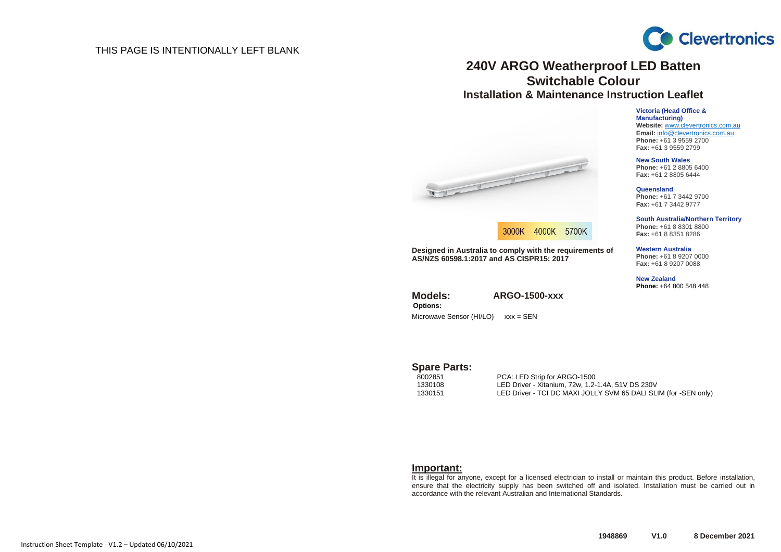## THIS PAGE IS INTENTIONALLY LEFT BLANK



# **240V ARGO Weatherproof LED Batten Switchable Colour Installation & Maintenance Instruction Leaflet**

**Victoria (Head Office & Manufacturing) Website:** [www.clevertronics.com.au](http://www.clevertronics.com.au/) **Email:** info@clevertronics.com.au **Phone:** +61 3 9559 2700 **Fax:** +61 3 9559 2799

**New South Wales Phone:** +61 2 8805 6400 **Fax:** +61 2 8805 6444

> **Queensland Phone:** +61 7 3442 9700 **Fax:** +61 7 3442 9777

**South Australia/Northern Territory Phone:** +61 8 8301 8800 **Fax:** +61 8 8351 8286

#### **Western Australia**

**Phone:** +61 8 9207 0000 **Fax:** +61 8 9207 0088

**New Zealand Phone:** +64 800 548 448

West the Company of the Company of



**Designed in Australia to comply with the requirements of AS/NZS 60598.1:2017 and AS CISPR15: 2017**

**Models: ARGO-1500-xxx Options:** Microwave Sensor (HI/LO) xxx = SEN

Spare Parts:<br>8002851

8002851 PCA: LED Strip for ARGO-1500 1330108 LED Driver - Xitanium, 72w, 1.2-1.4A, 51V DS 230V LED Driver - TCI DC MAXI JOLLY SVM 65 DALI SLIM (for -SEN only)

#### **Important:**

It is illegal for anyone, except for a licensed electrician to install or maintain this product. Before installation, ensure that the electricity supply has been switched off and isolated. Installation must be carried out in accordance with the relevant Australian and International Standards.